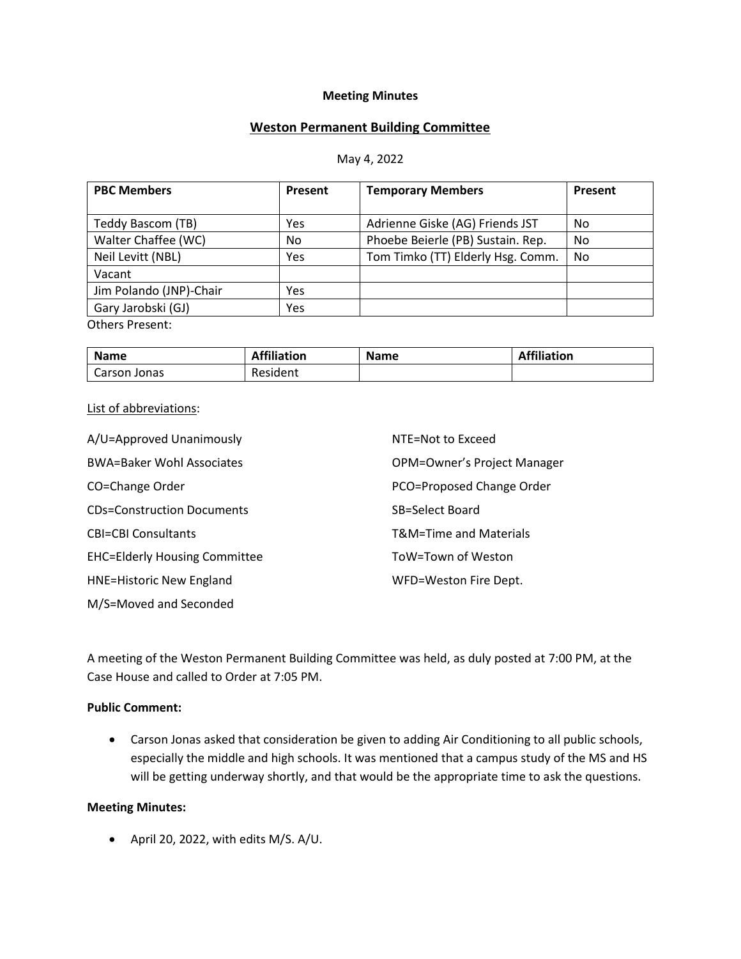### **Meeting Minutes**

## **Weston Permanent Building Committee**

#### May 4, 2022

| <b>PBC Members</b>      | Present | <b>Temporary Members</b>          | Present |
|-------------------------|---------|-----------------------------------|---------|
|                         |         |                                   |         |
| Teddy Bascom (TB)       | Yes     | Adrienne Giske (AG) Friends JST   | No      |
| Walter Chaffee (WC)     | No.     | Phoebe Beierle (PB) Sustain. Rep. | No      |
| Neil Levitt (NBL)       | Yes     | Tom Timko (TT) Elderly Hsg. Comm. | No      |
| Vacant                  |         |                                   |         |
| Jim Polando (JNP)-Chair | Yes     |                                   |         |
| Gary Jarobski (GJ)      | Yes     |                                   |         |
| $O+$ hors Droconti      |         |                                   |         |

Others Present:

| <b>Name</b>  | <b>Affiliation</b> | <b>Name</b> | <b>Affiliation</b> |
|--------------|--------------------|-------------|--------------------|
| Carson Jonas | Resident           |             |                    |

#### List of abbreviations:

| A/U=Approved Unanimously             | NTE=Not to Exceed                  |
|--------------------------------------|------------------------------------|
| <b>BWA=Baker Wohl Associates</b>     | <b>OPM=Owner's Project Manager</b> |
| CO=Change Order                      | PCO=Proposed Change Order          |
| <b>CDs=Construction Documents</b>    | SB=Select Board                    |
| <b>CBI=CBI Consultants</b>           | T&M=Time and Materials             |
| <b>EHC=Elderly Housing Committee</b> | ToW=Town of Weston                 |
| <b>HNE=Historic New England</b>      | WFD=Weston Fire Dept.              |
| M/S=Moved and Seconded               |                                    |

A meeting of the Weston Permanent Building Committee was held, as duly posted at 7:00 PM, at the Case House and called to Order at 7:05 PM.

## **Public Comment:**

• Carson Jonas asked that consideration be given to adding Air Conditioning to all public schools, especially the middle and high schools. It was mentioned that a campus study of the MS and HS will be getting underway shortly, and that would be the appropriate time to ask the questions.

#### **Meeting Minutes:**

• April 20, 2022, with edits M/S. A/U.